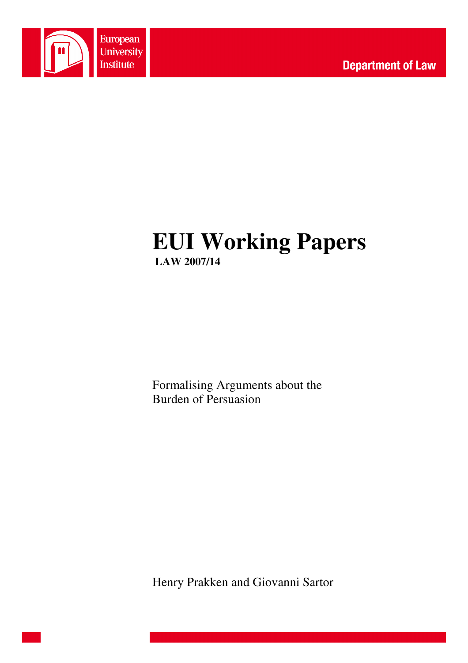

# **EUI Working Papers LAW 2007/14**

Formalising Arguments about the Burden of Persuasion

Henry Prakken and Giovanni Sartor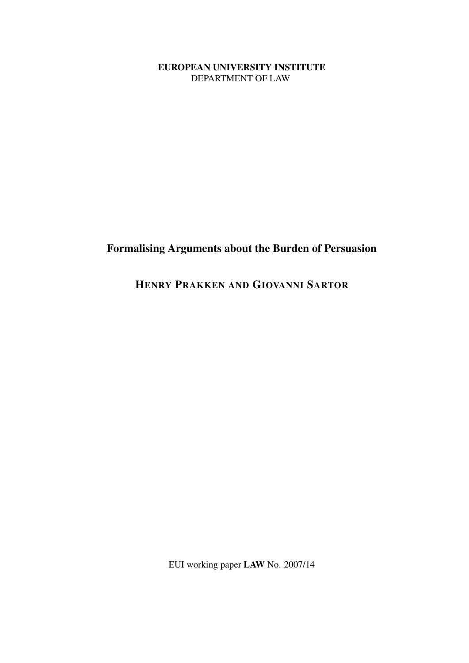EUROPEAN UNIVERSITY INSTITUTE DEPARTMENT OF LAW

## Formalising Arguments about the Burden of Persuasion

### HENRY PRAKKEN AND GIOVANNI SARTOR

EUI working paper LAW No. 2007/14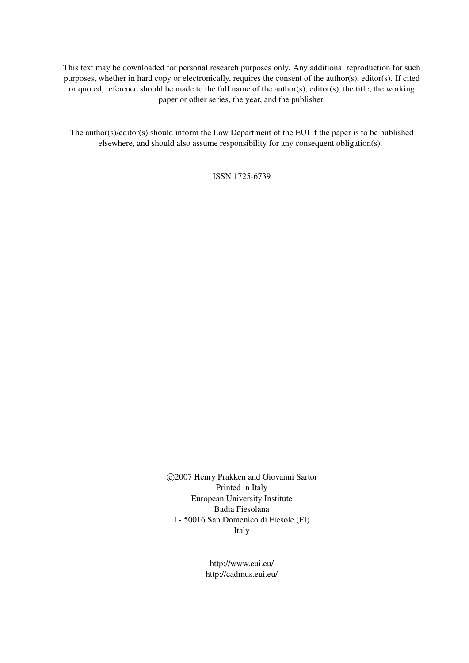This text may be downloaded for personal research purposes only. Any additional reproduction for such purposes, whether in hard copy or electronically, requires the consent of the author(s), editor(s). If cited or quoted, reference should be made to the full name of the author(s), editor(s), the title, the working paper or other series, the year, and the publisher.

The author(s)/editor(s) should inform the Law Department of the EUI if the paper is to be published elsewhere, and should also assume responsibility for any consequent obligation(s).

ISSN 1725-6739

 c 2007 Henry Prakken and Giovanni Sartor Printed in Italy European University Institute Badia Fiesolana I - 50016 San Domenico di Fiesole (FI) Italy

> http://www.eui.eu/ http://cadmus.eui.eu/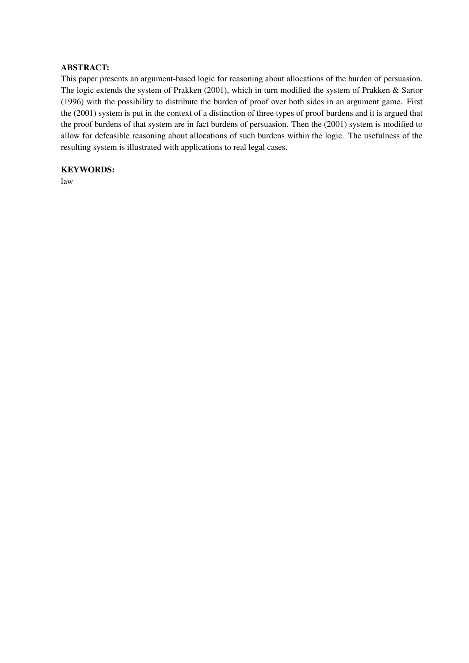#### ABSTRACT:

This paper presents an argument-based logic for reasoning about allocations of the burden of persuasion. The logic extends the system of Prakken (2001), which in turn modified the system of Prakken & Sartor (1996) with the possibility to distribute the burden of proof over both sides in an argument game. First the (2001) system is put in the context of a distinction of three types of proof burdens and it is argued that the proof burdens of that system are in fact burdens of persuasion. Then the (2001) system is modified to allow for defeasible reasoning about allocations of such burdens within the logic. The usefulness of the resulting system is illustrated with applications to real legal cases.

#### KEYWORDS:

law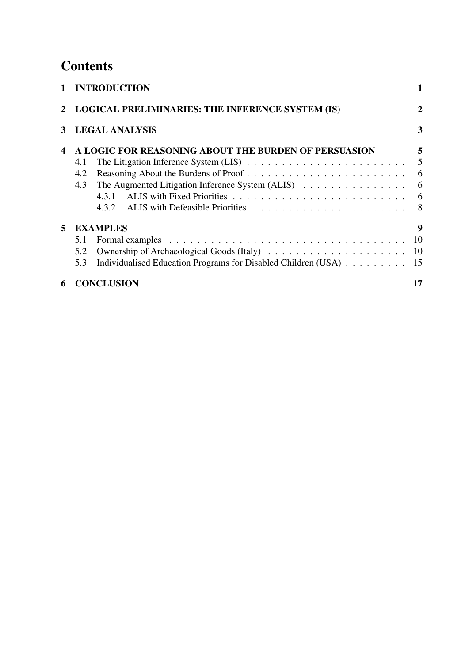## **Contents**

|   | 1 INTRODUCTION                                                       |                 |
|---|----------------------------------------------------------------------|-----------------|
|   | <b>LOGICAL PRELIMINARIES: THE INFERENCE SYSTEM (IS)</b>              | 2               |
| 3 | <b>LEGAL ANALYSIS</b>                                                | 3               |
| 4 | A LOGIC FOR REASONING ABOUT THE BURDEN OF PERSUASION                 | 5               |
|   | 4.1                                                                  | $5\phantom{0}$  |
|   | 4.2                                                                  |                 |
|   | The Augmented Litigation Inference System (ALIS)<br>4.3              | $6\overline{6}$ |
|   |                                                                      |                 |
|   |                                                                      | 8 <sup>8</sup>  |
| 5 | <b>EXAMPLES</b>                                                      | 9               |
|   | 5.1                                                                  |                 |
|   | 5.2                                                                  |                 |
|   | Individualised Education Programs for Disabled Children (USA)<br>5.3 | 15              |
| 6 | <b>CONCLUSION</b>                                                    | 17              |
|   |                                                                      |                 |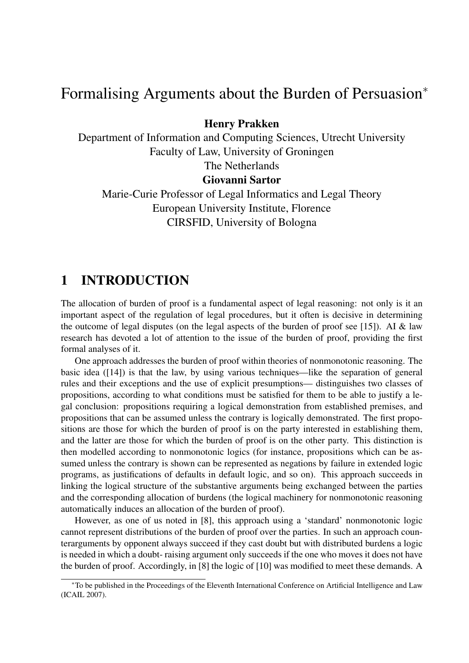## Formalising Arguments about the Burden of Persuasion<sup>∗</sup>

Henry Prakken

Department of Information and Computing Sciences, Utrecht University Faculty of Law, University of Groningen

The Netherlands

#### Giovanni Sartor

Marie-Curie Professor of Legal Informatics and Legal Theory European University Institute, Florence CIRSFID, University of Bologna

### 1 INTRODUCTION

The allocation of burden of proof is a fundamental aspect of legal reasoning: not only is it an important aspect of the regulation of legal procedures, but it often is decisive in determining the outcome of legal disputes (on the legal aspects of the burden of proof see [15]). AI  $\&$  law research has devoted a lot of attention to the issue of the burden of proof, providing the first formal analyses of it.

One approach addresses the burden of proof within theories of nonmonotonic reasoning. The basic idea ([14]) is that the law, by using various techniques—like the separation of general rules and their exceptions and the use of explicit presumptions— distinguishes two classes of propositions, according to what conditions must be satisfied for them to be able to justify a legal conclusion: propositions requiring a logical demonstration from established premises, and propositions that can be assumed unless the contrary is logically demonstrated. The first propositions are those for which the burden of proof is on the party interested in establishing them, and the latter are those for which the burden of proof is on the other party. This distinction is then modelled according to nonmonotonic logics (for instance, propositions which can be assumed unless the contrary is shown can be represented as negations by failure in extended logic programs, as justifications of defaults in default logic, and so on). This approach succeeds in linking the logical structure of the substantive arguments being exchanged between the parties and the corresponding allocation of burdens (the logical machinery for nonmonotonic reasoning automatically induces an allocation of the burden of proof).

However, as one of us noted in [8], this approach using a 'standard' nonmonotonic logic cannot represent distributions of the burden of proof over the parties. In such an approach counterarguments by opponent always succeed if they cast doubt but with distributed burdens a logic is needed in which a doubt- raising argument only succeeds if the one who moves it does not have the burden of proof. Accordingly, in [8] the logic of [10] was modified to meet these demands. A

<sup>∗</sup>To be published in the Proceedings of the Eleventh International Conference on Artificial Intelligence and Law (ICAIL 2007).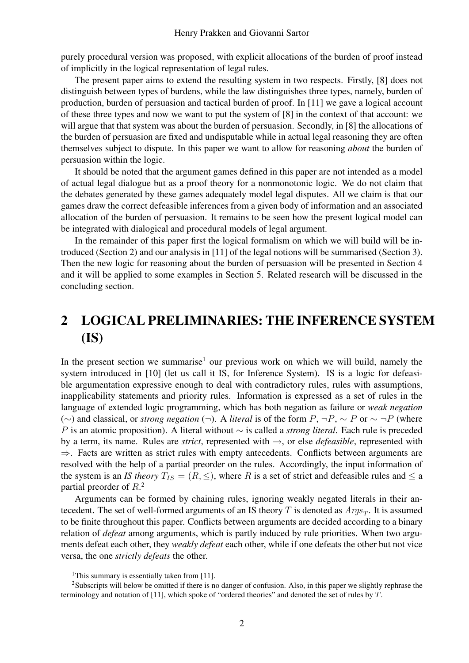purely procedural version was proposed, with explicit allocations of the burden of proof instead of implicitly in the logical representation of legal rules.

The present paper aims to extend the resulting system in two respects. Firstly, [8] does not distinguish between types of burdens, while the law distinguishes three types, namely, burden of production, burden of persuasion and tactical burden of proof. In [11] we gave a logical account of these three types and now we want to put the system of [8] in the context of that account: we will argue that that system was about the burden of persuasion. Secondly, in [8] the allocations of the burden of persuasion are fixed and undisputable while in actual legal reasoning they are often themselves subject to dispute. In this paper we want to allow for reasoning *about* the burden of persuasion within the logic.

It should be noted that the argument games defined in this paper are not intended as a model of actual legal dialogue but as a proof theory for a nonmonotonic logic. We do not claim that the debates generated by these games adequately model legal disputes. All we claim is that our games draw the correct defeasible inferences from a given body of information and an associated allocation of the burden of persuasion. It remains to be seen how the present logical model can be integrated with dialogical and procedural models of legal argument.

In the remainder of this paper first the logical formalism on which we will build will be introduced (Section 2) and our analysis in [11] of the legal notions will be summarised (Section 3). Then the new logic for reasoning about the burden of persuasion will be presented in Section 4 and it will be applied to some examples in Section 5. Related research will be discussed in the concluding section.

## 2 LOGICAL PRELIMINARIES: THE INFERENCE SYSTEM (IS)

In the present section we summarise<sup>1</sup> our previous work on which we will build, namely the system introduced in [10] (let us call it IS, for Inference System). IS is a logic for defeasible argumentation expressive enough to deal with contradictory rules, rules with assumptions, inapplicability statements and priority rules. Information is expressed as a set of rules in the language of extended logic programming, which has both negation as failure or *weak negation* (∼) and classical, or *strong negation* (¬). A *literal* is of the form P, ¬P, ∼ P or ∼ ¬P (where P is an atomic proposition). A literal without ∼ is called a *strong literal*. Each rule is preceded by a term, its name. Rules are *strict*, represented with →, or else *defeasible*, represented with  $\Rightarrow$ . Facts are written as strict rules with empty antecedents. Conflicts between arguments are resolved with the help of a partial preorder on the rules. Accordingly, the input information of the system is an *IS theory*  $T_{IS} = (R, \leq)$ , where R is a set of strict and defeasible rules and  $\leq$  a partial preorder of  $R<sup>2</sup>$ .

Arguments can be formed by chaining rules, ignoring weakly negated literals in their antecedent. The set of well-formed arguments of an IS theory T is denoted as  $Args_T$ . It is assumed to be finite throughout this paper. Conflicts between arguments are decided according to a binary relation of *defeat* among arguments, which is partly induced by rule priorities. When two arguments defeat each other, they *weakly defeat* each other, while if one defeats the other but not vice versa, the one *strictly defeats* the other.

<sup>&</sup>lt;sup>1</sup>This summary is essentially taken from [11].

<sup>&</sup>lt;sup>2</sup>Subscripts will below be omitted if there is no danger of confusion. Also, in this paper we slightly rephrase the terminology and notation of [11], which spoke of "ordered theories" and denoted the set of rules by T.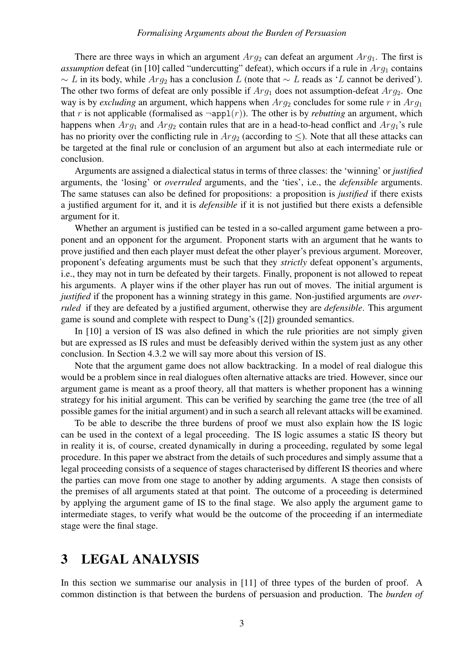There are three ways in which an argument  $Arg_2$  can defeat an argument  $Arg_1$ . The first is *assumption* defeat (in [10] called "undercutting" defeat), which occurs if a rule in  $Arg_1$  contains  $\sim L$  in its body, while  $Arg_2$  has a conclusion L (note that  $\sim L$  reads as 'L cannot be derived'). The other two forms of defeat are only possible if  $Arg_1$  does not assumption-defeat  $Arg_2$ . One way is by *excluding* an argument, which happens when  $Arg_2$  concludes for some rule r in  $Arg_1$ that r is not applicable (formalised as  $\neg$ appl $(r)$ ). The other is by *rebutting* an argument, which happens when  $Arg_1$  and  $Arg_2$  contain rules that are in a head-to-head conflict and  $Arg_1$ 's rule has no priority over the conflicting rule in  $Arg_2$  (according to  $\leq$ ). Note that all these attacks can be targeted at the final rule or conclusion of an argument but also at each intermediate rule or conclusion.

Arguments are assigned a dialectical status in terms of three classes: the 'winning' or *justified* arguments, the 'losing' or *overruled* arguments, and the 'ties', i.e., the *defensible* arguments. The same statuses can also be defined for propositions: a proposition is *justified* if there exists a justified argument for it, and it is *defensible* if it is not justified but there exists a defensible argument for it.

Whether an argument is justified can be tested in a so-called argument game between a proponent and an opponent for the argument. Proponent starts with an argument that he wants to prove justified and then each player must defeat the other player's previous argument. Moreover, proponent's defeating arguments must be such that they *strictly* defeat opponent's arguments, i.e., they may not in turn be defeated by their targets. Finally, proponent is not allowed to repeat his arguments. A player wins if the other player has run out of moves. The initial argument is *justified* if the proponent has a winning strategy in this game. Non-justified arguments are *overruled* if they are defeated by a justified argument, otherwise they are *defensible*. This argument game is sound and complete with respect to Dung's ([2]) grounded semantics.

In [10] a version of IS was also defined in which the rule priorities are not simply given but are expressed as IS rules and must be defeasibly derived within the system just as any other conclusion. In Section 4.3.2 we will say more about this version of IS.

Note that the argument game does not allow backtracking. In a model of real dialogue this would be a problem since in real dialogues often alternative attacks are tried. However, since our argument game is meant as a proof theory, all that matters is whether proponent has a winning strategy for his initial argument. This can be verified by searching the game tree (the tree of all possible games for the initial argument) and in such a search all relevant attacks will be examined.

To be able to describe the three burdens of proof we must also explain how the IS logic can be used in the context of a legal proceeding. The IS logic assumes a static IS theory but in reality it is, of course, created dynamically in during a proceeding, regulated by some legal procedure. In this paper we abstract from the details of such procedures and simply assume that a legal proceeding consists of a sequence of stages characterised by different IS theories and where the parties can move from one stage to another by adding arguments. A stage then consists of the premises of all arguments stated at that point. The outcome of a proceeding is determined by applying the argument game of IS to the final stage. We also apply the argument game to intermediate stages, to verify what would be the outcome of the proceeding if an intermediate stage were the final stage.

### 3 LEGAL ANALYSIS

In this section we summarise our analysis in [11] of three types of the burden of proof. A common distinction is that between the burdens of persuasion and production. The *burden of*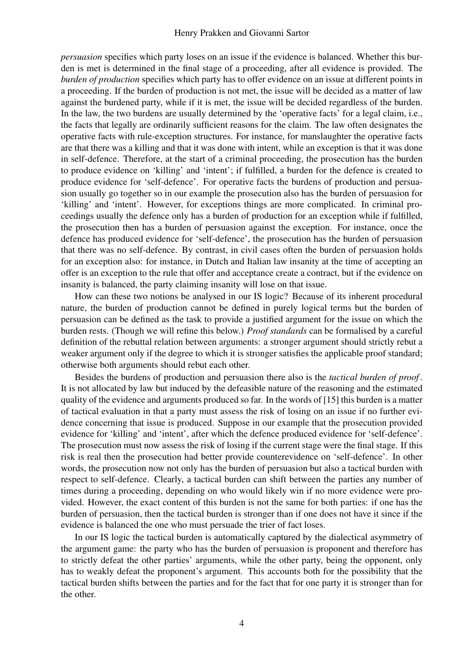*persuasion* specifies which party loses on an issue if the evidence is balanced. Whether this burden is met is determined in the final stage of a proceeding, after all evidence is provided. The *burden of production* specifies which party has to offer evidence on an issue at different points in a proceeding. If the burden of production is not met, the issue will be decided as a matter of law against the burdened party, while if it is met, the issue will be decided regardless of the burden. In the law, the two burdens are usually determined by the 'operative facts' for a legal claim, i.e., the facts that legally are ordinarily sufficient reasons for the claim. The law often designates the operative facts with rule-exception structures. For instance, for manslaughter the operative facts are that there was a killing and that it was done with intent, while an exception is that it was done in self-defence. Therefore, at the start of a criminal proceeding, the prosecution has the burden to produce evidence on 'killing' and 'intent'; if fulfilled, a burden for the defence is created to produce evidence for 'self-defence'. For operative facts the burdens of production and persuasion usually go together so in our example the prosecution also has the burden of persuasion for 'killing' and 'intent'. However, for exceptions things are more complicated. In criminal proceedings usually the defence only has a burden of production for an exception while if fulfilled, the prosecution then has a burden of persuasion against the exception. For instance, once the defence has produced evidence for 'self-defence', the prosecution has the burden of persuasion that there was no self-defence. By contrast, in civil cases often the burden of persuasion holds for an exception also: for instance, in Dutch and Italian law insanity at the time of accepting an offer is an exception to the rule that offer and acceptance create a contract, but if the evidence on insanity is balanced, the party claiming insanity will lose on that issue.

How can these two notions be analysed in our IS logic? Because of its inherent procedural nature, the burden of production cannot be defined in purely logical terms but the burden of persuasion can be defined as the task to provide a justified argument for the issue on which the burden rests. (Though we will refine this below.) *Proof standards* can be formalised by a careful definition of the rebuttal relation between arguments: a stronger argument should strictly rebut a weaker argument only if the degree to which it is stronger satisfies the applicable proof standard; otherwise both arguments should rebut each other.

Besides the burdens of production and persuasion there also is the *tactical burden of proof* . It is not allocated by law but induced by the defeasible nature of the reasoning and the estimated quality of the evidence and arguments produced so far. In the words of [15] this burden is a matter of tactical evaluation in that a party must assess the risk of losing on an issue if no further evidence concerning that issue is produced. Suppose in our example that the prosecution provided evidence for 'killing' and 'intent', after which the defence produced evidence for 'self-defence'. The prosecution must now assess the risk of losing if the current stage were the final stage. If this risk is real then the prosecution had better provide counterevidence on 'self-defence'. In other words, the prosecution now not only has the burden of persuasion but also a tactical burden with respect to self-defence. Clearly, a tactical burden can shift between the parties any number of times during a proceeding, depending on who would likely win if no more evidence were provided. However, the exact content of this burden is not the same for both parties: if one has the burden of persuasion, then the tactical burden is stronger than if one does not have it since if the evidence is balanced the one who must persuade the trier of fact loses.

In our IS logic the tactical burden is automatically captured by the dialectical asymmetry of the argument game: the party who has the burden of persuasion is proponent and therefore has to strictly defeat the other parties' arguments, while the other party, being the opponent, only has to weakly defeat the proponent's argument. This accounts both for the possibility that the tactical burden shifts between the parties and for the fact that for one party it is stronger than for the other.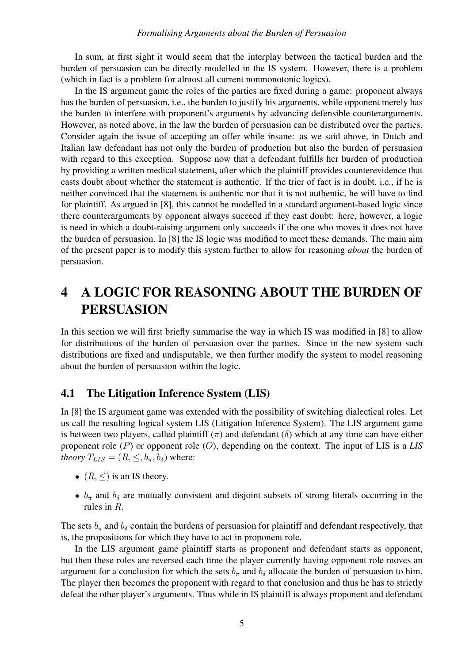In sum, at first sight it would seem that the interplay between the tactical burden and the burden of persuasion can be directly modelled in the IS system. However, there is a problem (which in fact is a problem for almost all current nonmonotonic logics).

In the IS argument game the roles of the parties are fixed during a game: proponent always has the burden of persuasion, i.e., the burden to justify his arguments, while opponent merely has the burden to interfere with proponent's arguments by advancing defensible counterarguments. However, as noted above, in the law the burden of persuasion can be distributed over the parties. Consider again the issue of accepting an offer while insane: as we said above, in Dutch and Italian law defendant has not only the burden of production but also the burden of persuasion with regard to this exception. Suppose now that a defendant fulfills her burden of production by providing a written medical statement, after which the plaintiff provides counterevidence that casts doubt about whether the statement is authentic. If the trier of fact is in doubt, i.e., if he is neither convinced that the statement is authentic nor that it is not authentic, he will have to find for plaintiff. As argued in [8], this cannot be modelled in a standard argument-based logic since there counterarguments by opponent always succeed if they cast doubt: here, however, a logic is need in which a doubt-raising argument only succeeds if the one who moves it does not have the burden of persuasion. In [8] the IS logic was modified to meet these demands. The main aim of the present paper is to modify this system further to allow for reasoning *about* the burden of persuasion.

## 4 A LOGIC FOR REASONING ABOUT THE BURDEN OF PERSUASION

In this section we will first briefly summarise the way in which IS was modified in [8] to allow for distributions of the burden of persuasion over the parties. Since in the new system such distributions are fixed and undisputable, we then further modify the system to model reasoning about the burden of persuasion within the logic.

#### 4.1 The Litigation Inference System (LIS)

In [8] the IS argument game was extended with the possibility of switching dialectical roles. Let us call the resulting logical system LIS (Litigation Inference System). The LIS argument game is between two players, called plaintiff  $(\pi)$  and defendant  $(\delta)$  which at any time can have either proponent role (P) or opponent role (O), depending on the context. The input of LIS is a *LIS theory*  $T_{LIS} = (R, \leq, b_{\pi}, b_{\delta})$  where:

- $(R, \leq)$  is an IS theory.
- $b_{\pi}$  and  $b_{\delta}$  are mutually consistent and disjoint subsets of strong literals occurring in the rules in R.

The sets  $b_{\pi}$  and  $b_{\delta}$  contain the burdens of persuasion for plaintiff and defendant respectively, that is, the propositions for which they have to act in proponent role.

In the LIS argument game plaintiff starts as proponent and defendant starts as opponent, but then these roles are reversed each time the player currently having opponent role moves an argument for a conclusion for which the sets  $b<sub>\pi</sub>$  and  $b<sub>\delta</sub>$  allocate the burden of persuasion to him. The player then becomes the proponent with regard to that conclusion and thus he has to strictly defeat the other player's arguments. Thus while in IS plaintiff is always proponent and defendant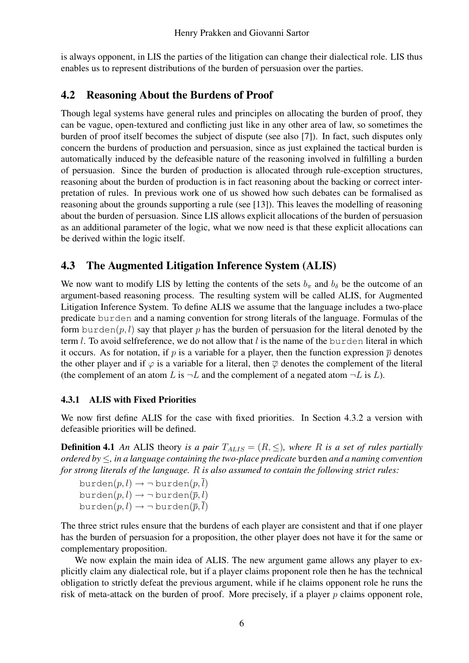is always opponent, in LIS the parties of the litigation can change their dialectical role. LIS thus enables us to represent distributions of the burden of persuasion over the parties.

### 4.2 Reasoning About the Burdens of Proof

Though legal systems have general rules and principles on allocating the burden of proof, they can be vague, open-textured and conflicting just like in any other area of law, so sometimes the burden of proof itself becomes the subject of dispute (see also [7]). In fact, such disputes only concern the burdens of production and persuasion, since as just explained the tactical burden is automatically induced by the defeasible nature of the reasoning involved in fulfilling a burden of persuasion. Since the burden of production is allocated through rule-exception structures, reasoning about the burden of production is in fact reasoning about the backing or correct interpretation of rules. In previous work one of us showed how such debates can be formalised as reasoning about the grounds supporting a rule (see [13]). This leaves the modelling of reasoning about the burden of persuasion. Since LIS allows explicit allocations of the burden of persuasion as an additional parameter of the logic, what we now need is that these explicit allocations can be derived within the logic itself.

### 4.3 The Augmented Litigation Inference System (ALIS)

We now want to modify LIS by letting the contents of the sets  $b_{\pi}$  and  $b_{\delta}$  be the outcome of an argument-based reasoning process. The resulting system will be called ALIS, for Augmented Litigation Inference System. To define ALIS we assume that the language includes a two-place predicate burden and a naming convention for strong literals of the language. Formulas of the form burden $(p, l)$  say that player p has the burden of persuasion for the literal denoted by the term l. To avoid selfreference, we do not allow that l is the name of the burden literal in which it occurs. As for notation, if p is a variable for a player, then the function expression  $\bar{p}$  denotes the other player and if  $\varphi$  is a variable for a literal, then  $\overline{\varphi}$  denotes the complement of the literal (the complement of an atom L is  $\neg L$  and the complement of a negated atom  $\neg L$  is L).

#### 4.3.1 ALIS with Fixed Priorities

We now first define ALIS for the case with fixed priorities. In Section 4.3.2 a version with defeasible priorities will be defined.

**Definition 4.1** An ALIS theory *is a pair*  $T_{ALIS} = (R, \leq)$ *, where* R *is a set of rules partially ordered by* ≤*, in a language containing the two-place predicate* burden *and a naming convention for strong literals of the language.* R *is also assumed to contain the following strict rules:*

burden $(p, l) \rightarrow \neg$  burden $(p, l)$  $\text{burden}(p, l) \rightarrow \neg \text{burden}(\overline{p}, l)$ burden $(p, l) \rightarrow \neg$  burden $(\overline{p}, \overline{l})$ 

The three strict rules ensure that the burdens of each player are consistent and that if one player has the burden of persuasion for a proposition, the other player does not have it for the same or complementary proposition.

We now explain the main idea of ALIS. The new argument game allows any player to explicitly claim any dialectical role, but if a player claims proponent role then he has the technical obligation to strictly defeat the previous argument, while if he claims opponent role he runs the risk of meta-attack on the burden of proof. More precisely, if a player  $p$  claims opponent role,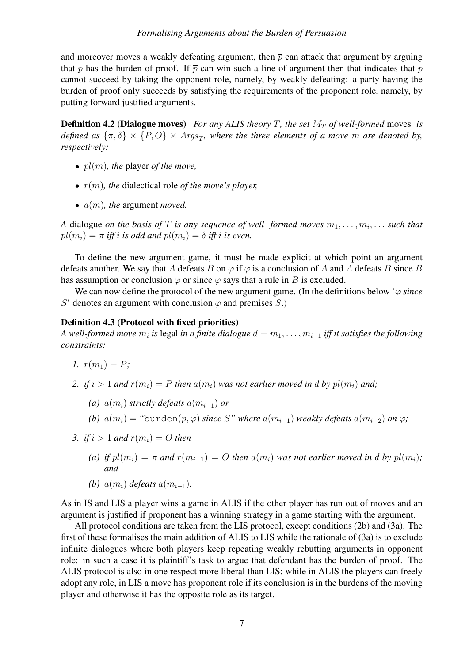and moreover moves a weakly defeating argument, then  $\bar{p}$  can attack that argument by arguing that p has the burden of proof. If  $\bar{p}$  can win such a line of argument then that indicates that p cannot succeed by taking the opponent role, namely, by weakly defeating: a party having the burden of proof only succeeds by satisfying the requirements of the proponent role, namely, by putting forward justified arguments.

**Definition 4.2 (Dialogue moves)** *For any ALIS theory T*, *the set*  $M_T$  *of well-formed* moves *is*  $\alpha$  defined as  $\{\pi, \delta\} \times \{P, O\} \times \text{Args}_T$ , where the three elements of a move m are denoted by, *respectively:*

- pl(m)*, the* player *of the move,*
- r(m)*, the* dialectical role *of the move's player,*
- a(m)*, the* argument *moved.*

*A* dialogue *on the basis of* T *is any sequence of well-formed moves*  $m_1, \ldots, m_i, \ldots$  *such that*  $pl(m_i) = \pi$  *iff i is odd and*  $pl(m_i) = \delta$  *iff i is even.* 

To define the new argument game, it must be made explicit at which point an argument defeats another. We say that A defeats B on  $\varphi$  if  $\varphi$  is a conclusion of A and A defeats B since B has assumption or conclusion  $\overline{\varphi}$  or since  $\varphi$  says that a rule in B is excluded.

We can now define the protocol of the new argument game. (In the definitions below ' $\varphi$  *since* S' denotes an argument with conclusion  $\varphi$  and premises S.)

#### Definition 4.3 (Protocol with fixed priorities)

*A well-formed move*  $m_i$  *is legal in a finite dialogue*  $d = m_1, \ldots, m_{i-1}$  *iff it satisfies the following constraints:*

$$
I. r(m_1) = P;
$$

- 2. if  $i > 1$  and  $r(m_i) = P$  then  $a(m_i)$  was not earlier moved in d by  $pl(m_i)$  and;
	- (*a*)  $a(m_i)$  *strictly defeats*  $a(m_{i-1})$  *or*
	- *(b)*  $a(m_i) =$  "burden( $\overline{p}, \varphi$ ) *since* S" *where*  $a(m_{i-1})$  *weakly defeats*  $a(m_{i-2})$  *on*  $\varphi$ ;
- *3.* if  $i > 1$  and  $r(m_i) = O$  then
	- *(a)* if  $pl(m_i) = \pi$  and  $r(m_{i-1}) = O$  then  $a(m_i)$  was not earlier moved in d by  $pl(m_i)$ ; *and*
	- *(b)*  $a(m_i)$  *defeats*  $a(m_{i-1})$ *.*

As in IS and LIS a player wins a game in ALIS if the other player has run out of moves and an argument is justified if proponent has a winning strategy in a game starting with the argument.

All protocol conditions are taken from the LIS protocol, except conditions (2b) and (3a). The first of these formalises the main addition of ALIS to LIS while the rationale of (3a) is to exclude infinite dialogues where both players keep repeating weakly rebutting arguments in opponent role: in such a case it is plaintiff's task to argue that defendant has the burden of proof. The ALIS protocol is also in one respect more liberal than LIS: while in ALIS the players can freely adopt any role, in LIS a move has proponent role if its conclusion is in the burdens of the moving player and otherwise it has the opposite role as its target.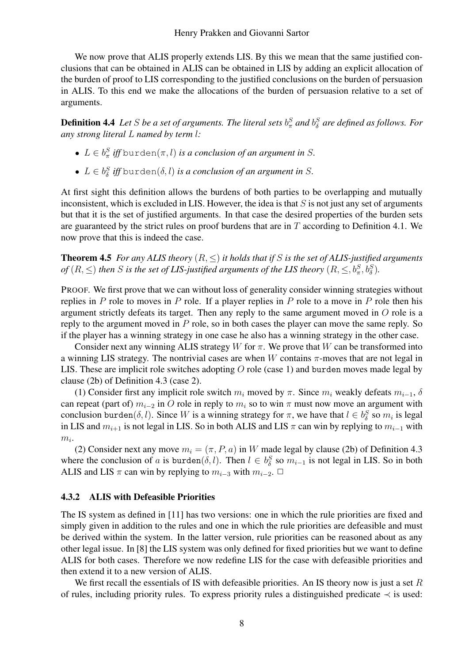We now prove that ALIS properly extends LIS. By this we mean that the same justified conclusions that can be obtained in ALIS can be obtained in LIS by adding an explicit allocation of the burden of proof to LIS corresponding to the justified conclusions on the burden of persuasion in ALIS. To this end we make the allocations of the burden of persuasion relative to a set of arguments.

**Definition 4.4** Let  $S$  be a set of arguments. The literal sets  $b_\pi^S$  and  $b_\delta^S$  are defined as follows. For *any strong literal* L *named by term* l*:*

- $L \in b^S_\pi$  *iff* burden $(\pi, l)$  *is a conclusion of an argument in* S.
- $L \in b_{\delta}^S$  *iff* burden $(\delta, l)$  *is a conclusion of an argument in*  $S$ .

At first sight this definition allows the burdens of both parties to be overlapping and mutually inconsistent, which is excluded in LIS. However, the idea is that  $S$  is not just any set of arguments but that it is the set of justified arguments. In that case the desired properties of the burden sets are guaranteed by the strict rules on proof burdens that are in  $T$  according to Definition 4.1. We now prove that this is indeed the case.

**Theorem 4.5** *For any ALIS theory*  $(R, \leq)$  *it holds that if* S *is the set of ALIS-justified arguments* of  $(R, \leq)$  then S is the set of LIS-justified arguments of the LIS theory  $(R, \leq, b^S_\pi, b^S_\delta)$ .

PROOF. We first prove that we can without loss of generality consider winning strategies without replies in  $P$  role to moves in  $P$  role. If a player replies in  $P$  role to a move in  $P$  role then his argument strictly defeats its target. Then any reply to the same argument moved in  $O$  role is a reply to the argument moved in  $P$  role, so in both cases the player can move the same reply. So if the player has a winning strategy in one case he also has a winning strategy in the other case.

Consider next any winning ALIS strategy W for  $\pi$ . We prove that W can be transformed into a winning LIS strategy. The nontrivial cases are when W contains  $\pi$ -moves that are not legal in LIS. These are implicit role switches adopting  $O$  role (case 1) and burden moves made legal by clause (2b) of Definition 4.3 (case 2).

(1) Consider first any implicit role switch  $m_i$  moved by  $\pi$ . Since  $m_i$  weakly defeats  $m_{i-1}$ ,  $\delta$ can repeat (part of)  $m_{i-2}$  in O role in reply to  $m_i$  so to win  $\pi$  must now move an argument with conclusion burden $(\delta, l)$ . Since W is a winning strategy for  $\pi$ , we have that  $l \in b_{\delta}^{S}$  so  $m_i$  is legal in LIS and  $m_{i+1}$  is not legal in LIS. So in both ALIS and LIS  $\pi$  can win by replying to  $m_{i-1}$  with  $m_i$ .

(2) Consider next any move  $m_i = (\pi, P, a)$  in W made legal by clause (2b) of Definition 4.3 where the conclusion of a is burden $(\delta, l)$ . Then  $l \in b_{\delta}^{S}$  so  $m_{i-1}$  is not legal in LIS. So in both ALIS and LIS  $\pi$  can win by replying to  $m_{i-3}$  with  $m_{i-2}$ .  $\Box$ 

#### 4.3.2 ALIS with Defeasible Priorities

The IS system as defined in [11] has two versions: one in which the rule priorities are fixed and simply given in addition to the rules and one in which the rule priorities are defeasible and must be derived within the system. In the latter version, rule priorities can be reasoned about as any other legal issue. In [8] the LIS system was only defined for fixed priorities but we want to define ALIS for both cases. Therefore we now redefine LIS for the case with defeasible priorities and then extend it to a new version of ALIS.

We first recall the essentials of IS with defeasible priorities. An IS theory now is just a set  $R$ of rules, including priority rules. To express priority rules a distinguished predicate ≺ is used: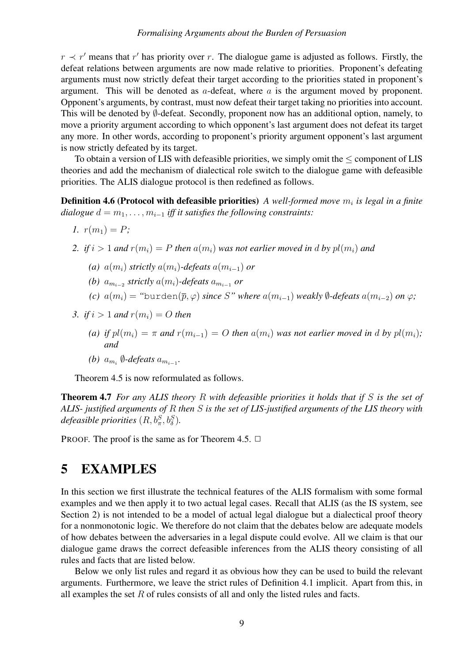$r \prec r'$  means that r' has priority over r. The dialogue game is adjusted as follows. Firstly, the defeat relations between arguments are now made relative to priorities. Proponent's defeating arguments must now strictly defeat their target according to the priorities stated in proponent's argument. This will be denoted as  $a$ -defeat, where  $a$  is the argument moved by proponent. Opponent's arguments, by contrast, must now defeat their target taking no priorities into account. This will be denoted by *≬*-defeat. Secondly, proponent now has an additional option, namely, to move a priority argument according to which opponent's last argument does not defeat its target any more. In other words, according to proponent's priority argument opponent's last argument is now strictly defeated by its target.

To obtain a version of LIS with defeasible priorities, we simply omit the  $\leq$  component of LIS theories and add the mechanism of dialectical role switch to the dialogue game with defeasible priorities. The ALIS dialogue protocol is then redefined as follows.

**Definition 4.6 (Protocol with defeasible priorities)** A well-formed move  $m_i$  is legal in a finite *dialogue*  $d = m_1, \ldots, m_{i-1}$  *iff it satisfies the following constraints:* 

- *1.*  $r(m_1) = P$ ;
- 2. if  $i > 1$  and  $r(m_i) = P$  then  $a(m_i)$  was not earlier moved in d by  $pl(m_i)$  and
	- (*a*)  $a(m_i)$  *strictly*  $a(m_i)$ *-defeats*  $a(m_{i-1})$  *or*
	- *(b)*  $a_{m_{i-2}}$  strictly  $a(m_i)$ -defeats  $a_{m_{i-1}}$  or
	- *(c)*  $a(m_i) =$  "burden( $\overline{p}, \varphi$ ) *since* S" *where*  $a(m_{i-1})$  *weakly*  $\varnothing$ *-defeats*  $a(m_{i-2})$  *on*  $\varphi$ *;*
- *3.* if  $i > 1$  and  $r(m_i) = O$  then
	- (a) if  $pl(m_i) = \pi$  and  $r(m_{i-1}) = O$  then  $a(m_i)$  was not earlier moved in d by  $pl(m_i)$ ; *and*
	- (*b*)  $a_{m_i}$   $\emptyset$ -defeats  $a_{m_{i-1}}$ .

Theorem 4.5 is now reformulated as follows.

Theorem 4.7 *For any ALIS theory* R *with defeasible priorities it holds that if* S *is the set of ALIS- justified arguments of* R *then* S *is the set of LIS-justified arguments of the LIS theory with*  $\emph{defeasible priorities}$   $(R, b_\pi^S, b_\delta^S).$ 

PROOF. The proof is the same as for Theorem 4.5.  $\Box$ 

### 5 EXAMPLES

In this section we first illustrate the technical features of the ALIS formalism with some formal examples and we then apply it to two actual legal cases. Recall that ALIS (as the IS system, see Section 2) is not intended to be a model of actual legal dialogue but a dialectical proof theory for a nonmonotonic logic. We therefore do not claim that the debates below are adequate models of how debates between the adversaries in a legal dispute could evolve. All we claim is that our dialogue game draws the correct defeasible inferences from the ALIS theory consisting of all rules and facts that are listed below.

Below we only list rules and regard it as obvious how they can be used to build the relevant arguments. Furthermore, we leave the strict rules of Definition 4.1 implicit. Apart from this, in all examples the set  $R$  of rules consists of all and only the listed rules and facts.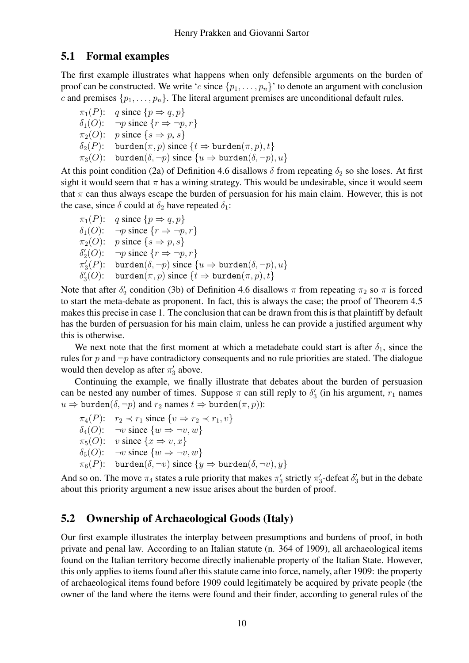#### 5.1 Formal examples

The first example illustrates what happens when only defensible arguments on the burden of proof can be constructed. We write 'c since  $\{p_1, \ldots, p_n\}$ ' to denote an argument with conclusion c and premises  $\{p_1, \ldots, p_n\}$ . The literal argument premises are unconditional default rules.

$$
\pi_1(P): q \text{ since } \{p \Rightarrow q, p\}
$$
  
\n
$$
\delta_1(O): \neg p \text{ since } \{r \Rightarrow \neg p, r\}
$$
  
\n
$$
\pi_2(O): p \text{ since } \{s \Rightarrow p, s\}
$$
  
\n
$$
\delta_2(P): \text{ burden}(\pi, p) \text{ since } \{t \Rightarrow \text{ burden}(\pi, p), t\}
$$
  
\n
$$
\pi_3(O): \text{ burden}(\delta, \neg p) \text{ since } \{u \Rightarrow \text{ burden}(\delta, \neg p), u\}
$$

At this point condition (2a) of Definition 4.6 disallows  $\delta$  from repeating  $\delta_2$  so she loses. At first sight it would seem that  $\pi$  has a wining strategy. This would be undesirable, since it would seem that  $\pi$  can thus always escape the burden of persuasion for his main claim. However, this is not the case, since  $\delta$  could at  $\delta_2$  have repeated  $\delta_1$ :

$$
\pi_1(P): q \text{ since } \{p \Rightarrow q, p\}
$$
  
\n
$$
\delta_1(O): \neg p \text{ since } \{r \Rightarrow \neg p, r\}
$$
  
\n
$$
\pi_2(O): p \text{ since } \{s \Rightarrow p, s\}
$$
  
\n
$$
\delta_2'(O): \neg p \text{ since } \{r \Rightarrow \neg p, r\}
$$
  
\n
$$
\pi_3'(P): \text{ burden}(\delta, \neg p) \text{ since } \{u \Rightarrow \text{ burden}(\delta, \neg p), u\}
$$
  
\n
$$
\delta_3'(O): \text{ burden}(\pi, p) \text{ since } \{t \Rightarrow \text{ burden}(\pi, p), t\}
$$

Note that after  $\delta'_2$  condition (3b) of Definition 4.6 disallows  $\pi$  from repeating  $\pi_2$  so  $\pi$  is forced to start the meta-debate as proponent. In fact, this is always the case; the proof of Theorem 4.5 makes this precise in case 1. The conclusion that can be drawn from this is that plaintiff by default has the burden of persuasion for his main claim, unless he can provide a justified argument why this is otherwise.

We next note that the first moment at which a metadebate could start is after  $\delta_1$ , since the rules for p and  $\neg p$  have contradictory consequents and no rule priorities are stated. The dialogue would then develop as after  $\pi'_3$  above.

Continuing the example, we finally illustrate that debates about the burden of persuasion can be nested any number of times. Suppose  $\pi$  can still reply to  $\delta'_{3}$  (in his argument,  $r_1$  names  $u \Rightarrow$  burden $(\delta, \neg p)$  and  $r_2$  names  $t \Rightarrow$  burden $(\pi, p)$ ):

$$
\pi_4(P): \quad r_2 \prec r_1 \text{ since } \{v \Rightarrow r_2 \prec r_1, v\}
$$
\n
$$
\delta_4(O): \quad \neg v \text{ since } \{w \Rightarrow \neg v, w\}
$$
\n
$$
\pi_5(O): \quad v \text{ since } \{x \Rightarrow v, x\}
$$
\n
$$
\delta_5(O): \quad \neg v \text{ since } \{w \Rightarrow \neg v, w\}
$$
\n
$$
\pi_6(P): \quad \text{burden}(\delta, \neg v) \text{ since } \{y \Rightarrow \text{burden}(\delta, \neg v), y\}
$$

And so on. The move  $\pi_4$  states a rule priority that makes  $\pi'_3$  strictly  $\pi'_3$ -defeat  $\delta'_3$  but in the debate about this priority argument a new issue arises about the burden of proof.

#### 5.2 Ownership of Archaeological Goods (Italy)

Our first example illustrates the interplay between presumptions and burdens of proof, in both private and penal law. According to an Italian statute (n. 364 of 1909), all archaeological items found on the Italian territory become directly inalienable property of the Italian State. However, this only applies to items found after this statute came into force, namely, after 1909: the property of archaeological items found before 1909 could legitimately be acquired by private people (the owner of the land where the items were found and their finder, according to general rules of the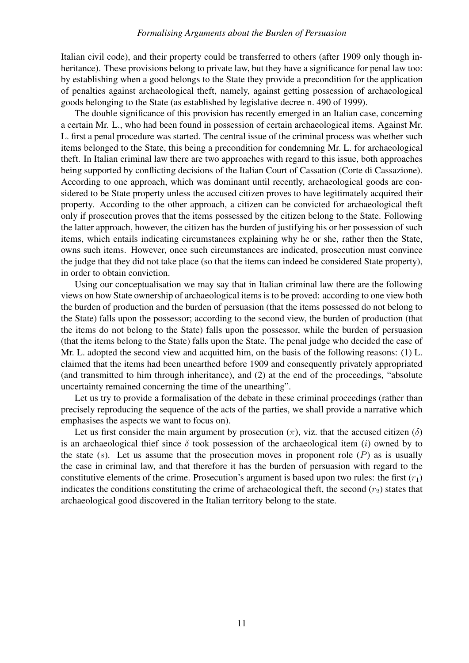Italian civil code), and their property could be transferred to others (after 1909 only though inheritance). These provisions belong to private law, but they have a significance for penal law too: by establishing when a good belongs to the State they provide a precondition for the application of penalties against archaeological theft, namely, against getting possession of archaeological goods belonging to the State (as established by legislative decree n. 490 of 1999).

The double significance of this provision has recently emerged in an Italian case, concerning a certain Mr. L., who had been found in possession of certain archaeological items. Against Mr. L. first a penal procedure was started. The central issue of the criminal process was whether such items belonged to the State, this being a precondition for condemning Mr. L. for archaeological theft. In Italian criminal law there are two approaches with regard to this issue, both approaches being supported by conflicting decisions of the Italian Court of Cassation (Corte di Cassazione). According to one approach, which was dominant until recently, archaeological goods are considered to be State property unless the accused citizen proves to have legitimately acquired their property. According to the other approach, a citizen can be convicted for archaeological theft only if prosecution proves that the items possessed by the citizen belong to the State. Following the latter approach, however, the citizen has the burden of justifying his or her possession of such items, which entails indicating circumstances explaining why he or she, rather then the State, owns such items. However, once such circumstances are indicated, prosecution must convince the judge that they did not take place (so that the items can indeed be considered State property), in order to obtain conviction.

Using our conceptualisation we may say that in Italian criminal law there are the following views on how State ownership of archaeological items is to be proved: according to one view both the burden of production and the burden of persuasion (that the items possessed do not belong to the State) falls upon the possessor; according to the second view, the burden of production (that the items do not belong to the State) falls upon the possessor, while the burden of persuasion (that the items belong to the State) falls upon the State. The penal judge who decided the case of Mr. L. adopted the second view and acquitted him, on the basis of the following reasons: (1) L. claimed that the items had been unearthed before 1909 and consequently privately appropriated (and transmitted to him through inheritance), and (2) at the end of the proceedings, "absolute uncertainty remained concerning the time of the unearthing".

Let us try to provide a formalisation of the debate in these criminal proceedings (rather than precisely reproducing the sequence of the acts of the parties, we shall provide a narrative which emphasises the aspects we want to focus on).

Let us first consider the main argument by prosecution  $(\pi)$ , viz. that the accused citizen  $(\delta)$ is an archaeological thief since  $\delta$  took possession of the archaeological item (i) owned by to the state  $(s)$ . Let us assume that the prosecution moves in proponent role  $(P)$  as is usually the case in criminal law, and that therefore it has the burden of persuasion with regard to the constitutive elements of the crime. Prosecution's argument is based upon two rules: the first  $(r_1)$ indicates the conditions constituting the crime of archaeological theft, the second  $(r_2)$  states that archaeological good discovered in the Italian territory belong to the state.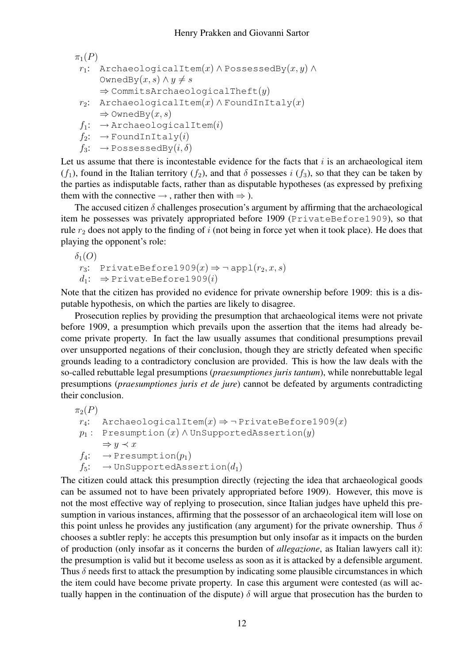```
\pi_1(P)r<sub>1</sub>: ArchaeologicalItem(x) \wedgePossessedBy(x, y) \wedgeOwnedBy(x, s) \wedge y \neq s\Rightarrow CommitsArchaeologicalTheft(y)
r_2: ArchaeologicalItem(x) \wedge FoundInItaly(x)\Rightarrow OwnedBy(x, s)f_1: \rightarrow ArchaeologicalItem(i)
f_2: \rightarrow FoundInItaly(i)
f_3: \rightarrow PossessedBy(i, \delta)
```
Let us assume that there is incontestable evidence for the facts that  $i$  is an archaeological item  $(f_1)$ , found in the Italian territory  $(f_2)$ , and that  $\delta$  possesses i  $(f_3)$ , so that they can be taken by the parties as indisputable facts, rather than as disputable hypotheses (as expressed by prefixing them with the connective  $\rightarrow$ , rather then with  $\Rightarrow$ ).

The accused citizen  $\delta$  challenges prosecution's argument by affirming that the archaeological item he possesses was privately appropriated before 1909 (PrivateBefore1909), so that rule  $r_2$  does not apply to the finding of i (not being in force yet when it took place). He does that playing the opponent's role:

```
\delta_1(O)r<sub>3</sub>: PrivateBefore1909(x) \Rightarrow \negappl(r_2, x, s)d_1: \Rightarrow PrivateBefore1909(i)
```
Note that the citizen has provided no evidence for private ownership before 1909: this is a disputable hypothesis, on which the parties are likely to disagree.

Prosecution replies by providing the presumption that archaeological items were not private before 1909, a presumption which prevails upon the assertion that the items had already become private property. In fact the law usually assumes that conditional presumptions prevail over unsupported negations of their conclusion, though they are strictly defeated when specific grounds leading to a contradictory conclusion are provided. This is how the law deals with the so-called rebuttable legal presumptions (*praesumptiones juris tantum*), while nonrebuttable legal presumptions (*praesumptiones juris et de jure*) cannot be defeated by arguments contradicting their conclusion.

```
\pi_2(P)r_4: ArchaeologicalItem(x) \Rightarrow \negPrivateBefore1909(x)p_1: Presumption (x) \wedge UnSupportedAssertion(y)
     \Rightarrow y \prec x
f_4: \rightarrow Presumption(p_1)f_5: \rightarrow UnSupportedAssertion(d_1)
```
The citizen could attack this presumption directly (rejecting the idea that archaeological goods can be assumed not to have been privately appropriated before 1909). However, this move is not the most effective way of replying to prosecution, since Italian judges have upheld this presumption in various instances, affirming that the possessor of an archaeological item will lose on this point unless he provides any justification (any argument) for the private ownership. Thus  $\delta$ chooses a subtler reply: he accepts this presumption but only insofar as it impacts on the burden of production (only insofar as it concerns the burden of *allegazione*, as Italian lawyers call it): the presumption is valid but it become useless as soon as it is attacked by a defensible argument. Thus  $\delta$  needs first to attack the presumption by indicating some plausible circumstances in which the item could have become private property. In case this argument were contested (as will actually happen in the continuation of the dispute)  $\delta$  will argue that prosecution has the burden to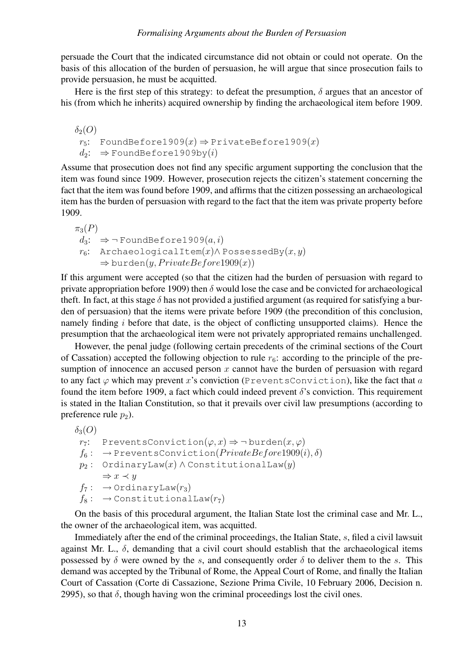persuade the Court that the indicated circumstance did not obtain or could not operate. On the basis of this allocation of the burden of persuasion, he will argue that since prosecution fails to provide persuasion, he must be acquitted.

Here is the first step of this strategy: to defeat the presumption,  $\delta$  argues that an ancestor of his (from which he inherits) acquired ownership by finding the archaeological item before 1909.

```
\delta_2(O)r_5: FoundBefore1909(x) \RightarrowPrivateBefore1909(x)d_2: \Rightarrow FoundBefore1909by(i)
```
Assume that prosecution does not find any specific argument supporting the conclusion that the item was found since 1909. However, prosecution rejects the citizen's statement concerning the fact that the item was found before 1909, and affirms that the citizen possessing an archaeological item has the burden of persuasion with regard to the fact that the item was private property before 1909.

```
\pi_3(P)d_3: \Rightarrow \neg FoundBefore1909(a, i)r_6: ArchaeologicalItem(x)\wedge PossessedBy(x, y)\Rightarrow burden(y, PrivateBefore1909(x))
```
If this argument were accepted (so that the citizen had the burden of persuasion with regard to private appropriation before 1909) then  $\delta$  would lose the case and be convicted for archaeological theft. In fact, at this stage  $\delta$  has not provided a justified argument (as required for satisfying a burden of persuasion) that the items were private before 1909 (the precondition of this conclusion, namely finding i before that date, is the object of conflicting unsupported claims). Hence the presumption that the archaeological item were not privately appropriated remains unchallenged.

However, the penal judge (following certain precedents of the criminal sections of the Court of Cassation) accepted the following objection to rule  $r_6$ : according to the principle of the presumption of innocence an accused person  $x$  cannot have the burden of persuasion with regard to any fact  $\varphi$  which may prevent x's conviction (PreventsConviction), like the fact that a found the item before 1909, a fact which could indeed prevent  $\delta$ 's conviction. This requirement is stated in the Italian Constitution, so that it prevails over civil law presumptions (according to preference rule  $p_2$ ).

```
\delta_3(O)r_7: PreventsConviction(\varphi, x) \Rightarrow \negburden(x, \varphi)f_6: \rightarrow PreventsConviction(PrivateBefore1909(i), \delta)p_2: OrdinaryLaw(x) \wedgeConstitutionalLaw(y)\Rightarrow x \prec y
f_7: \rightarrow OrdinaryLaw(r_3)f_8: \rightarrow ConstitutionalLaw(r_7)
```
On the basis of this procedural argument, the Italian State lost the criminal case and Mr. L., the owner of the archaeological item, was acquitted.

Immediately after the end of the criminal proceedings, the Italian State, s, filed a civil lawsuit against Mr. L.,  $\delta$ , demanding that a civil court should establish that the archaeological items possessed by  $\delta$  were owned by the s, and consequently order  $\delta$  to deliver them to the s. This demand was accepted by the Tribunal of Rome, the Appeal Court of Rome, and finally the Italian Court of Cassation (Corte di Cassazione, Sezione Prima Civile, 10 February 2006, Decision n. 2995), so that  $\delta$ , though having won the criminal proceedings lost the civil ones.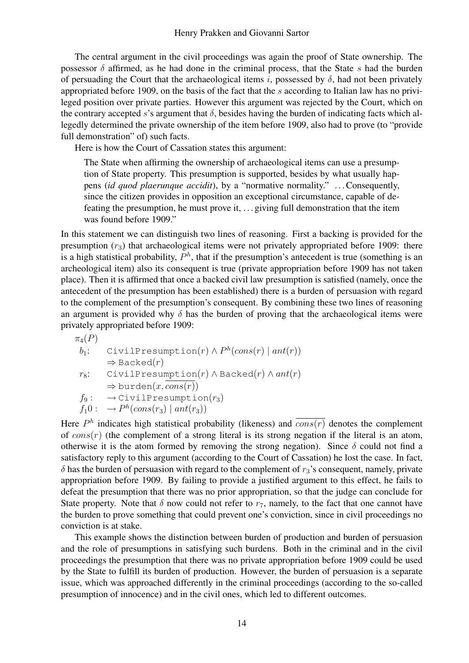The central argument in the civil proceedings was again the proof of State ownership. The possessor  $\delta$  affirmed, as he had done in the criminal process, that the State s had the burden of persuading the Court that the archaeological items i, possessed by  $\delta$ , had not been privately appropriated before 1909, on the basis of the fact that the s according to Italian law has no privileged position over private parties. However this argument was rejected by the Court, which on the contrary accepted s's argument that  $\delta$ , besides having the burden of indicating facts which allegedly determined the private ownership of the item before 1909, also had to prove (to "provide full demonstration" of) such facts.

Here is how the Court of Cassation states this argument:

The State when affirming the ownership of archaeological items can use a presumption of State property. This presumption is supported, besides by what usually happens (*id quod plaerunque accidit*), by a "normative normality." . . . Consequently, since the citizen provides in opposition an exceptional circumstance, capable of defeating the presumption, he must prove it, . . . giving full demonstration that the item was found before 1909."

In this statement we can distinguish two lines of reasoning. First a backing is provided for the presumption  $(r_3)$  that archaeological items were not privately appropriated before 1909: there is a high statistical probability,  $P<sup>h</sup>$ , that if the presumption's antecedent is true (something is an archeological item) also its consequent is true (private appropriation before 1909 has not taken place). Then it is affirmed that once a backed civil law presumption is satisfied (namely, once the antecedent of the presumption has been established) there is a burden of persuasion with regard to the complement of the presumption's consequent. By combining these two lines of reasoning an argument is provided why  $\delta$  has the burden of proving that the archaeological items were privately appropriated before 1909:

 $\pi_4(P)$  $b_1$ : CivilPresumption $(r) \wedge P^h(cons(r) | ant(r))$  $\Rightarrow$  Backed $(r)$  $r_8$ : CivilPresumption(r)  $\land$  Backed(r)  $\land$  ant(r)  $\Rightarrow$  burden $(x, \overline{cons(r)})$  $f_9: \rightarrow$  CivilPresumption( $r_3$ )  $f_10: \rightarrow P^h(cons(r_3) | ant(r_3))$ 

Here  $P<sup>h</sup>$  indicates high statistical probability (likeness) and  $\overline{cons(r)}$  denotes the complement of  $cons(r)$  (the complement of a strong literal is its strong negation if the literal is an atom, otherwise it is the atom formed by removing the strong negation). Since  $\delta$  could not find a satisfactory reply to this argument (according to the Court of Cassation) he lost the case. In fact,  $\delta$  has the burden of persuasion with regard to the complement of  $r_3$ 's consequent, namely, private appropriation before 1909. By failing to provide a justified argument to this effect, he fails to defeat the presumption that there was no prior appropriation, so that the judge can conclude for State property. Note that  $\delta$  now could not refer to  $r_7$ , namely, to the fact that one cannot have the burden to prove something that could prevent one's conviction, since in civil proceedings no conviction is at stake.

This example shows the distinction between burden of production and burden of persuasion and the role of presumptions in satisfying such burdens. Both in the criminal and in the civil proceedings the presumption that there was no private appropriation before 1909 could be used by the State to fulfill its burden of production. However, the burden of persuasion is a separate issue, which was approached differently in the criminal proceedings (according to the so-called presumption of innocence) and in the civil ones, which led to different outcomes.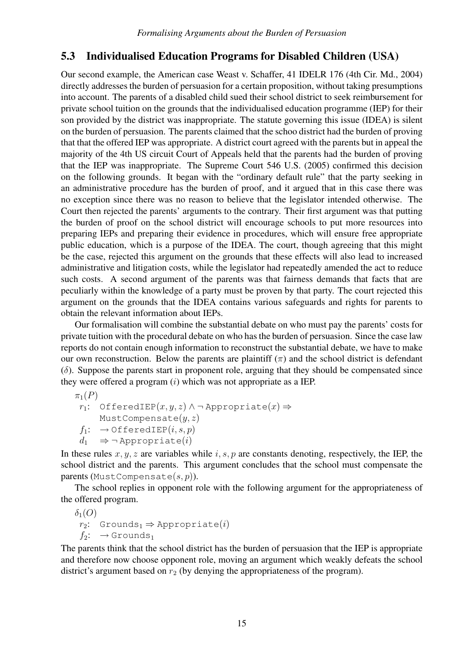#### 5.3 Individualised Education Programs for Disabled Children (USA)

Our second example, the American case Weast v. Schaffer, 41 IDELR 176 (4th Cir. Md., 2004) directly addresses the burden of persuasion for a certain proposition, without taking presumptions into account. The parents of a disabled child sued their school district to seek reimbursement for private school tuition on the grounds that the individualised education programme (IEP) for their son provided by the district was inappropriate. The statute governing this issue (IDEA) is silent on the burden of persuasion. The parents claimed that the schoo district had the burden of proving that that the offered IEP was appropriate. A district court agreed with the parents but in appeal the majority of the 4th US circuit Court of Appeals held that the parents had the burden of proving that the IEP was inappropriate. The Supreme Court 546 U.S. (2005) confirmed this decision on the following grounds. It began with the "ordinary default rule" that the party seeking in an administrative procedure has the burden of proof, and it argued that in this case there was no exception since there was no reason to believe that the legislator intended otherwise. The Court then rejected the parents' arguments to the contrary. Their first argument was that putting the burden of proof on the school district will encourage schools to put more resources into preparing IEPs and preparing their evidence in procedures, which will ensure free appropriate public education, which is a purpose of the IDEA. The court, though agreeing that this might be the case, rejected this argument on the grounds that these effects will also lead to increased administrative and litigation costs, while the legislator had repeatedly amended the act to reduce such costs. A second argument of the parents was that fairness demands that facts that are peculiarly within the knowledge of a party must be proven by that party. The court rejected this argument on the grounds that the IDEA contains various safeguards and rights for parents to obtain the relevant information about IEPs.

Our formalisation will combine the substantial debate on who must pay the parents' costs for private tuition with the procedural debate on who has the burden of persuasion. Since the case law reports do not contain enough information to reconstruct the substantial debate, we have to make our own reconstruction. Below the parents are plaintiff  $(\pi)$  and the school district is defendant  $(\delta)$ . Suppose the parents start in proponent role, arguing that they should be compensated since they were offered a program  $(i)$  which was not appropriate as a IEP.

```
\pi_1(P)r_1: OfferedIEP(x, y, z) ∧ ¬ Appropriate(x) ⇒
    MustCompensate(y, z)f_1: \rightarrow OfferedIEP(i, s, p)
```

```
d_1 \Rightarrow \neg \text{Approximate}(i)
```
In these rules  $x, y, z$  are variables while i, s, p are constants denoting, respectively, the IEP, the school district and the parents. This argument concludes that the school must compensate the parents (MustCompensate $(s, p)$ ).

The school replies in opponent role with the following argument for the appropriateness of the offered program.

```
\delta_1(O)r_2: Grounds<sub>1</sub> \Rightarrow Appropriate(i)
f_2: \rightarrow \text{Grounds}_1
```
The parents think that the school district has the burden of persuasion that the IEP is appropriate and therefore now choose opponent role, moving an argument which weakly defeats the school district's argument based on  $r_2$  (by denying the appropriateness of the program).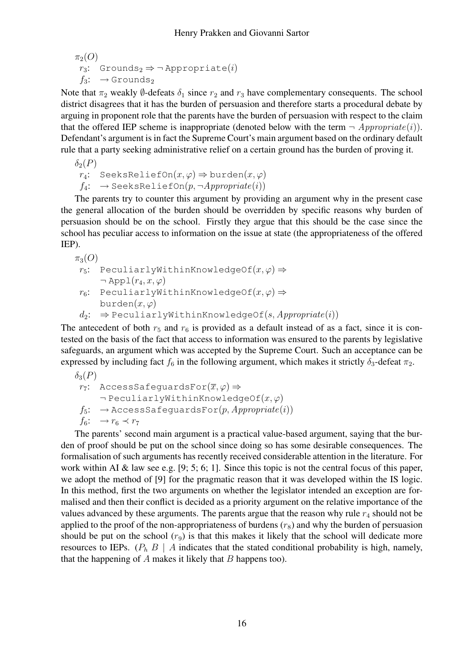```
\pi_2(O)r_3: Grounds<sub>2</sub> \Rightarrow \neg Appropriate(i)
f_3: \rightarrow \text{Grounds}_2
```
Note that  $\pi_2$  weakly  $\emptyset$ -defeats  $\delta_1$  since  $r_2$  and  $r_3$  have complementary consequents. The school district disagrees that it has the burden of persuasion and therefore starts a procedural debate by arguing in proponent role that the parents have the burden of persuasion with respect to the claim that the offered IEP scheme is inappropriate (denoted below with the term  $\neg$  Appropriate(i)). Defendant's argument is in fact the Supreme Court's main argument based on the ordinary default rule that a party seeking administrative relief on a certain ground has the burden of proving it.

```
\delta_2(P)r_4: SeeksReliefOn(x, \varphi) \Rightarrowburden(x, \varphi)f_4: \rightarrow SeeksReliefOn(p, \neg Appropriate(i))
```
The parents try to counter this argument by providing an argument why in the present case the general allocation of the burden should be overridden by specific reasons why burden of persuasion should be on the school. Firstly they argue that this should be the case since the school has peculiar access to information on the issue at state (the appropriateness of the offered IEP).

 $\pi_3(O)$ 

- $r_5$ : PeculiarlyWithinKnowledgeOf( $x, \varphi$ )  $\Rightarrow$  $\neg$  Appl $(r_4, x, \varphi)$  $r_6$ : PeculiarlyWithinKnowledgeOf $(x, \varphi) \Rightarrow$ burden $(x, \varphi)$
- $d_2$ :  $\Rightarrow$  PeculiarlyWithinKnowledgeOf(s, Appropriate(i))

The antecedent of both  $r_5$  and  $r_6$  is provided as a default instead of as a fact, since it is contested on the basis of the fact that access to information was ensured to the parents by legislative safeguards, an argument which was accepted by the Supreme Court. Such an acceptance can be expressed by including fact  $f_6$  in the following argument, which makes it strictly  $\delta_3$ -defeat  $\pi_2$ .

```
\delta_3(P)r_7: AccessSafequardsFor(\overline{x}, \varphi) \Rightarrow\neg PeculiarlyWithinKnowledgeOf(x, \varphi)f_5: \rightarrow AccessSafeguardsFor(p, Appropriate(i))f_6: \rightarrow r_6 \prec r_7
```
The parents' second main argument is a practical value-based argument, saying that the burden of proof should be put on the school since doing so has some desirable consequences. The formalisation of such arguments has recently received considerable attention in the literature. For work within AI & law see e.g. [9; 5; 6; 1]. Since this topic is not the central focus of this paper, we adopt the method of [9] for the pragmatic reason that it was developed within the IS logic. In this method, first the two arguments on whether the legislator intended an exception are formalised and then their conflict is decided as a priority argument on the relative importance of the values advanced by these arguments. The parents argue that the reason why rule  $r_4$  should not be applied to the proof of the non-appropriateness of burdens  $(r_8)$  and why the burden of persuasion should be put on the school  $(r_9)$  is that this makes it likely that the school will dedicate more resources to IEPs. ( $P_h \, B \mid A$  indicates that the stated conditional probability is high, namely, that the happening of  $A$  makes it likely that  $B$  happens too).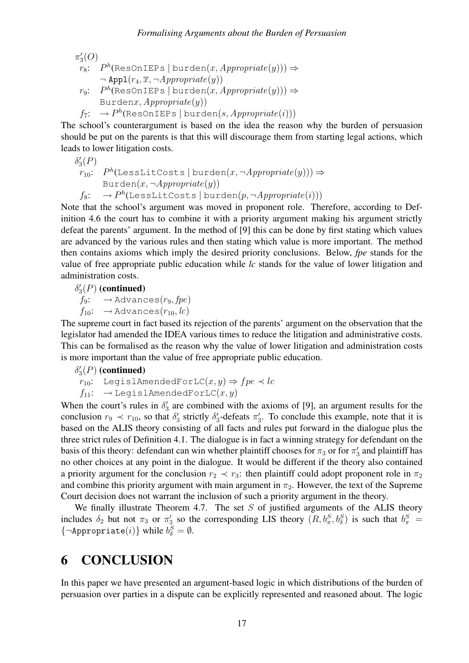$\pi'_3(O)$ 

 $r_8$ :  $P^h$ (ResOnIEPs | burden $(x, Appropriate(y))) \Rightarrow$  $\neg$  Appl $(r_4, \overline{x}, \neg\text{Appropriate}(y))$  $r_9$ :  $P^h(\text{ResOnIEPs} \mid \text{burden}(x, \text{Appropriate}(y))) \Rightarrow$ 

```
Burdenx, Appropriate(y))
```
 $f_7: \rightarrow P^h(\texttt{ResOnIEPs} \mid \texttt{burden}(s, \textit{Appropriate}(i)))$ 

The school's counterargument is based on the idea the reason why the burden of persuasion should be put on the parents is that this will discourage them from starting legal actions, which leads to lower litigation costs.

$$
\delta_3'(P)
$$
\n
$$
r_{10}: P^h(\text{LessLitCosts} | burden(x, \neg Appropriate(y))) \Rightarrow
$$
\n
$$
f_8: \neg P^h(\text{LessLitCosts} | burden(p, \neg Appropriate(i)))
$$

Note that the school's argument was moved in proponent role. Therefore, according to Definition 4.6 the court has to combine it with a priority argument making his argument strictly defeat the parents' argument. In the method of [9] this can be done by first stating which values are advanced by the various rules and then stating which value is more important. The method then contains axioms which imply the desired priority conclusions. Below, *fpe* stands for the value of free appropriate public education while *lc* stands for the value of lower litigation and administration costs.

```
\delta'_{3}(P) (continued)
```

```
f_9: \rightarrow Advances(r_9, fpe)f_{10}: \rightarrow Advances(r_{10}, lc)
```
The supreme court in fact based its rejection of the parents' argument on the observation that the legislator had amended the IDEA various times to reduce the litigation and administrative costs. This can be formalised as the reason why the value of lower litigation and administration costs is more important than the value of free appropriate public education.

```
\delta_3'(P) (continued)
```

```
r_{10}: LegislAmendedForLC(x, y) \Rightarrow fpe \prec lc
```

```
f_{11}: \rightarrow LegislAmendedForLC(x, y)
```
When the court's rules in  $\delta_3$  are combined with the axioms of [9], an argument results for the conclusion  $r_9 \prec r_{10}$ , so that  $\delta'_3$  strictly  $\delta'_3$ -defeats  $\pi'_3$ . To conclude this example, note that it is based on the ALIS theory consisting of all facts and rules put forward in the dialogue plus the three strict rules of Definition 4.1. The dialogue is in fact a winning strategy for defendant on the basis of this theory: defendant can win whether plaintiff chooses for  $\pi_3$  or for  $\pi'_3$  and plaintiff has no other choices at any point in the dialogue. It would be different if the theory also contained a priority argument for the conclusion  $r_2 \prec r_3$ : then plaintiff could adopt proponent role in  $\pi_2$ and combine this priority argument with main argument in  $\pi_2$ . However, the text of the Supreme Court decision does not warrant the inclusion of such a priority argument in the theory.

We finally illustrate Theorem 4.7. The set  $S$  of justified arguments of the ALIS theory includes  $\delta_2$  but not  $\pi_3$  or  $\pi'_3$  so the corresponding LIS theory  $(R, b^S_\pi, b^S_\delta)$  is such that  $b^S_\pi$  $\{\neg {\tt Approximate}(i)\}$  while  $b^S_\delta = \emptyset$ .

### 6 CONCLUSION

In this paper we have presented an argument-based logic in which distributions of the burden of persuasion over parties in a dispute can be explicitly represented and reasoned about. The logic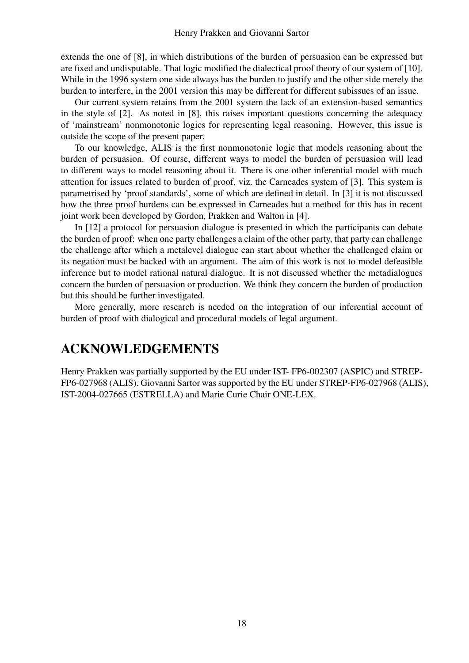extends the one of [8], in which distributions of the burden of persuasion can be expressed but are fixed and undisputable. That logic modified the dialectical proof theory of our system of [10]. While in the 1996 system one side always has the burden to justify and the other side merely the burden to interfere, in the 2001 version this may be different for different subissues of an issue.

Our current system retains from the 2001 system the lack of an extension-based semantics in the style of [2]. As noted in [8], this raises important questions concerning the adequacy of 'mainstream' nonmonotonic logics for representing legal reasoning. However, this issue is outside the scope of the present paper.

To our knowledge, ALIS is the first nonmonotonic logic that models reasoning about the burden of persuasion. Of course, different ways to model the burden of persuasion will lead to different ways to model reasoning about it. There is one other inferential model with much attention for issues related to burden of proof, viz. the Carneades system of [3]. This system is parametrised by 'proof standards', some of which are defined in detail. In [3] it is not discussed how the three proof burdens can be expressed in Carneades but a method for this has in recent joint work been developed by Gordon, Prakken and Walton in [4].

In [12] a protocol for persuasion dialogue is presented in which the participants can debate the burden of proof: when one party challenges a claim of the other party, that party can challenge the challenge after which a metalevel dialogue can start about whether the challenged claim or its negation must be backed with an argument. The aim of this work is not to model defeasible inference but to model rational natural dialogue. It is not discussed whether the metadialogues concern the burden of persuasion or production. We think they concern the burden of production but this should be further investigated.

More generally, more research is needed on the integration of our inferential account of burden of proof with dialogical and procedural models of legal argument.

### ACKNOWLEDGEMENTS

Henry Prakken was partially supported by the EU under IST- FP6-002307 (ASPIC) and STREP-FP6-027968 (ALIS). Giovanni Sartor was supported by the EU under STREP-FP6-027968 (ALIS), IST-2004-027665 (ESTRELLA) and Marie Curie Chair ONE-LEX.